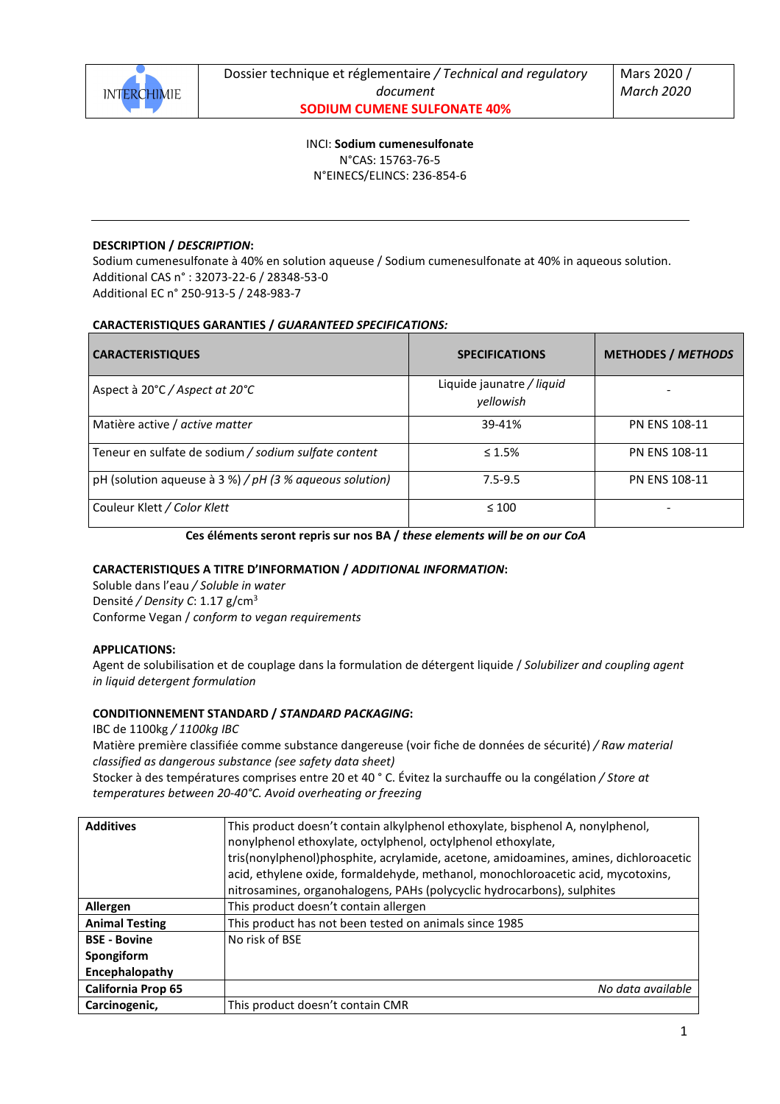

INCI: **Sodium cumenesulfonate** N°CAS: 15763-76-5 N°EINECS/ELINCS: 236-854-6

# **DESCRIPTION /** *DESCRIPTION***:**

Sodium cumenesulfonate à 40% en solution aqueuse / Sodium cumenesulfonate at 40% in aqueous solution. Additional CAS n° : 32073-22-6 / 28348-53-0 Additional EC n° 250-913-5 / 248-983-7

## **CARACTERISTIQUES GARANTIES /** *GUARANTEED SPECIFICATIONS:*

| <b>CARACTERISTIQUES</b>                                 | <b>SPECIFICATIONS</b>                  | <b>METHODES / METHODS</b> |
|---------------------------------------------------------|----------------------------------------|---------------------------|
| Aspect à $20^{\circ}$ C / Aspect at $20^{\circ}$ C      | Liquide jaunatre / liquid<br>vellowish |                           |
| Matière active / active matter                          | 39-41%                                 | <b>PN ENS 108-11</b>      |
| Teneur en sulfate de sodium / sodium sulfate content    | $\leq 1.5\%$                           | <b>PN ENS 108-11</b>      |
| pH (solution aqueuse à 3 %) / pH (3 % aqueous solution) | $7.5 - 9.5$                            | <b>PN ENS 108-11</b>      |
| Couleur Klett / Color Klett                             | $\leq 100$                             |                           |

**Ces éléments seront repris sur nos BA /** *these elements will be on our CoA* 

## **CARACTERISTIQUES A TITRE D'INFORMATION /** *ADDITIONAL INFORMATION***:**

Soluble dans l'eau */ Soluble in water* Densité */ Density C*: 1.17 g/cm<sup>3</sup> Conforme Vegan / *conform to vegan requirements* 

#### **APPLICATIONS:**

Agent de solubilisation et de couplage dans la formulation de détergent liquide / *Solubilizer and coupling agent in liquid detergent formulation* 

## **CONDITIONNEMENT STANDARD /** *STANDARD PACKAGING***:**

IBC de 1100kg */ 1100kg IBC*

Matière première classifiée comme substance dangereuse (voir fiche de données de sécurité) */ Raw material classified as dangerous substance (see safety data sheet)* 

Stocker à des températures comprises entre 20 et 40 ° C. Évitez la surchauffe ou la congélation */ Store at temperatures between 20-40°C. Avoid overheating or freezing* 

| <b>Additives</b>      | This product doesn't contain alkylphenol ethoxylate, bisphenol A, nonylphenol,       |
|-----------------------|--------------------------------------------------------------------------------------|
|                       | nonylphenol ethoxylate, octylphenol, octylphenol ethoxylate,                         |
|                       | tris(nonylphenol)phosphite, acrylamide, acetone, amidoamines, amines, dichloroacetic |
|                       | acid, ethylene oxide, formaldehyde, methanol, monochloroacetic acid, mycotoxins,     |
|                       | nitrosamines, organohalogens, PAHs (polycyclic hydrocarbons), sulphites              |
| Allergen              | This product doesn't contain allergen                                                |
| <b>Animal Testing</b> | This product has not been tested on animals since 1985                               |
| <b>BSE - Bovine</b>   | No risk of BSE                                                                       |
| Spongiform            |                                                                                      |
| Encephalopathy        |                                                                                      |
| California Prop 65    | No data available                                                                    |
| Carcinogenic,         | This product doesn't contain CMR                                                     |